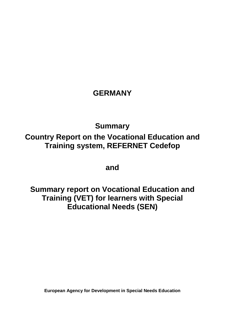### **GERMANY**

## **Summary Country Report on the Vocational Education and Training system, REFERNET Cedefop**

**and**

**Summary report on Vocational Education and Training (VET) for learners with Special Educational Needs (SEN)**

**European Agency for Development in Special Needs Education**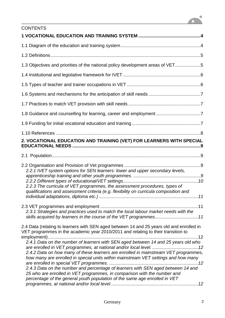# $\mathbf{a}^{\mathbf{t}}$

| <b>CONTENTS</b>                                                                                                                                                                                                                                                                                                                                                                                                                                                                                                                                                                                                  |
|------------------------------------------------------------------------------------------------------------------------------------------------------------------------------------------------------------------------------------------------------------------------------------------------------------------------------------------------------------------------------------------------------------------------------------------------------------------------------------------------------------------------------------------------------------------------------------------------------------------|
|                                                                                                                                                                                                                                                                                                                                                                                                                                                                                                                                                                                                                  |
|                                                                                                                                                                                                                                                                                                                                                                                                                                                                                                                                                                                                                  |
|                                                                                                                                                                                                                                                                                                                                                                                                                                                                                                                                                                                                                  |
| 1.3 Objectives and priorities of the national policy development areas of VET5                                                                                                                                                                                                                                                                                                                                                                                                                                                                                                                                   |
|                                                                                                                                                                                                                                                                                                                                                                                                                                                                                                                                                                                                                  |
|                                                                                                                                                                                                                                                                                                                                                                                                                                                                                                                                                                                                                  |
|                                                                                                                                                                                                                                                                                                                                                                                                                                                                                                                                                                                                                  |
|                                                                                                                                                                                                                                                                                                                                                                                                                                                                                                                                                                                                                  |
| 1.8 Guidance and counselling for learning, career and employment 7                                                                                                                                                                                                                                                                                                                                                                                                                                                                                                                                               |
|                                                                                                                                                                                                                                                                                                                                                                                                                                                                                                                                                                                                                  |
|                                                                                                                                                                                                                                                                                                                                                                                                                                                                                                                                                                                                                  |
| 2. VOCATIONAL EDUCATION AND TRAINING (VET) FOR LEARNERS WITH SPECIAL                                                                                                                                                                                                                                                                                                                                                                                                                                                                                                                                             |
|                                                                                                                                                                                                                                                                                                                                                                                                                                                                                                                                                                                                                  |
| 2.2.1 IVET system options for SEN learners: lower and upper secondary levels,<br>2.2.3 The curricula of VET programmes, the assessment procedures, types of<br>qualifications and assessment criteria (e.g. flexibility on curricula composition and                                                                                                                                                                                                                                                                                                                                                             |
| 2.3.1 Strategies and practices used to match the local labour market needs with the<br>skills acquired by learners in the course of the VET programmes11                                                                                                                                                                                                                                                                                                                                                                                                                                                         |
| 2.4 Data (relating to learners with SEN aged between 14 and 25 years old and enrolled in<br>VET programmes in the academic year 2010/2011 and relating to their transition to<br>2.4.1 Data on the number of learners with SEN aged between 14 and 25 years old who<br>2.4.2 Data on how many of these learners are enrolled in mainstream VET programmes,<br>how many are enrolled in special units within mainstream VET settings and how many<br>2.4.3 Data on the number and percentage of learners with SEN aged between 14 and<br>25 who are enrolled in VET programmes, in comparison with the number and |
| percentage of the general youth population of the same age enrolled in VET                                                                                                                                                                                                                                                                                                                                                                                                                                                                                                                                       |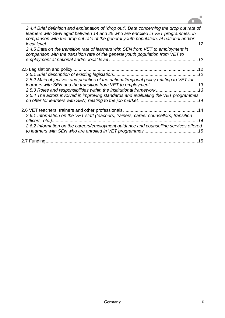

| 2.4.4 Brief definition and explanation of "drop out". Data concerning the drop out rate of<br>learners with SEN aged between 14 and 25 who are enrolled in VET programmes, in<br>comparison with the drop out rate of the general youth population, at national and/or |  |
|------------------------------------------------------------------------------------------------------------------------------------------------------------------------------------------------------------------------------------------------------------------------|--|
| 2.4.5 Data on the transition rate of learners with SEN from VET to employment in<br>comparison with the transition rate of the general youth population from VET to                                                                                                    |  |
|                                                                                                                                                                                                                                                                        |  |
|                                                                                                                                                                                                                                                                        |  |
| 2.5.2 Main objectives and priorities of the national/regional policy relating to VET for<br>2.5.3 Roles and responsibilities within the institutional framework 13<br>2.5.4 The actors involved in improving standards and evaluating the VET programmes               |  |
|                                                                                                                                                                                                                                                                        |  |
| 2.6.1 Information on the VET staff (teachers, trainers, career counsellors, transition<br>2.6.2 Information on the careers/employment guidance and counselling services offered                                                                                        |  |
|                                                                                                                                                                                                                                                                        |  |
|                                                                                                                                                                                                                                                                        |  |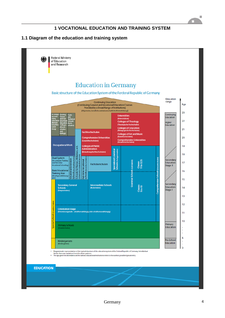#### **1 VOCATIONAL EDUCATION AND TRAINING SYSTEM**

#### **1.1 Diagram of the education and training system**



ш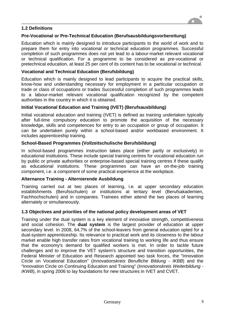#### **1.2 Definitions**

#### **Pre-Vocational or Pre-Technical Education (Berufsausbildungsvorbereitung)**

Education which is mainly designed to introduce participants to the world of work and to prepare them for entry into vocational or technical education programmes. Successful completion of such programmes does not yet lead to a labour-market relevant vocational or technical qualification. For a programme to be considered as pre-vocational or pretechnical education, at least 25 per cent of its content has to be vocational or technical.

#### **Vocational and Technical Education (Berufsbildung)**

Education which is mainly designed to lead participants to acquire the practical skills, know-how and understanding necessary for employment in a particular occupation or trade or class of occupations or trades Successful completion of such programmes leads to a labour-market relevant vocational qualification recognized by the competent authorities in the country in which it is obtained.

#### **Initial Vocational Education and Training (IVET) (Berufsausbildung)**

Initial vocational education and training (IVET) is defined as training undertaken typically after full-time compulsory education to promote the acquisition of the necessary knowledge, skills and competences for entry to an occupation or group of occupation. It can be undertaken purely within a school-based and/or workbased environment. It includes apprenticeship training.

#### **School-Based Programmes (Vollzeitschulische Berufsbildung)**

In school-based programmes instruction takes place (either partly or exclusively) in educational institutions. These include special training centres for vocational education run by public or private authorities or enterprise-based special training centres if these qualify as educational institutions. These programmes can have an on-the-job training component, i.e. a component of some practical experience at the workplace.

#### **Alternance Training - Alternierende Ausbildung**

Training carried out at two places of learning, i.e. at upper secondary education establishments (Berufsschulen) or institutions at tertiary level (Berufsakademien, Fachhochschulen) and in companies. Trainees either attend the two places of learning alternately or simultaneously.

#### **1.3 Objectives and priorities of the national policy development areas of VET**

Training under the dual system is a key element of innovative strength, competitiveness and social cohesion. The **dual system** is the largest provider of education at upper secondary level. In 2008, 64,7% of the school-leavers from general education opted for a dual-system apprenticeship. Its relevance to practical work and its closeness to the labour market enable high transfer rates from vocational training to working life and thus ensure that the economy's demand for qualified workers is met. In order to tackle future challenges and to improve the VET system's structure and transition opportunities, the Federal Minister of Education and Research appointed two task forces, the "Innovation Circle on Vocational Education" (*Innovationskreis Berufliche Bildung - IKBB*) and the "Innovation Circle on Continuing Education and Training" (*Innovationskreis Weiterbildung - IKWB*), in spring 2006 to lay foundations for new structures in IVET and CVET.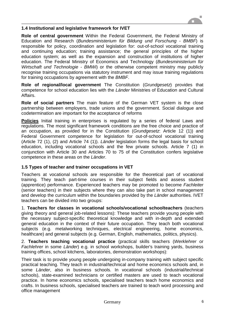

#### **1.4 Institutional and legislative framework for IVET**

**Role of central government** Within the Federal Government, the Federal Ministry of Education and Research (*Bundesministerium für Bildung und Forschung - BMBF*) is responsible for policy, coordination and legislation for: out-of-school vocational training and continuing education; training assistance; the general principles of the higher education system; as well as the expansion and construction of institutions of higher education. The Federal Ministry of Economics and Technology (*Bundesministerium für Wirtschaft und Technologie - BMWi*) or the otherwise competent ministry may publicly recognise training occupations via statutory instrument and may issue training regulations for training occupations by agreement with the *BMBF*.

**Role of regional/local government** The Constitution (*Grundgesetz*) provides that competence for school education lies with the *Länder* Ministries of Education and Cultural Affairs.

**Role of social partners** The main feature of the German VET system is the close partnership between employers, trade unions and the government. Social dialogue and codetermination are important for the acceptance of reforms

**Policies** Initial training in enterprises is regulated by a series of federal Laws and regulations. The most significant framework conditions are the free choice and practice of an occupation, as provided for in the Constitution (*Grundgesetz*: Article 12 (1)) and Federal Government competence for legislation for out-of-school vocational training (Article 72 (1), (2) and Article 74 (1)). *Länder* legislation forms the legal basis for school education, including vocational schools and the few private schools. Article 7 (1) in conjunction with Article 30 and Articles 70 to 75 of the Constitution confers legislative competence in these areas on the *Länder*.

#### **1.5 Types of teacher and trainer occupations in VET**

Teachers at vocational schools are responsible for the theoretical part of vocational training. They teach part-time courses in their subject fields and assess student (apprentice) performance. Experienced teachers may be promoted to become *Fachleiter*  (senior teachers) in their subjects where they can also take part in school management and develop the curriculum within the boundaries provided by the *Länder* authorities. IVET teachers can be divided into two groups:

1. **Teachers for classes in vocational schools/vocational schoolteachers** (teachers giving theory and general job-related lessons): These teachers provide young people with the necessary subject-specific theoretical knowledge and with in-depth and extended general education in the context of their future occupation. They teach both vocational subjects (e.g. metalworking techniques, electrical engineering, home economics, healthcare) and general subjects (e.g. German, English, mathematics, politics, physics).

2. **Teachers teaching vocational practice** (practical skills teachers (*Werklehrer* or *Fachlehrer* in some *Länder*) e.g. in school workshops, builder's training yards, business training offices, school kitchens, laboratories, demonstration workshops):

Their task is to provide young people undergoing in-company training with subject specific practical teaching. They teach in industrial/technical and home economics schools and, in some *Länder*, also in business schools. In vocational schools (industrial/technical schools), state-examined technicians or certified masters are used to teach vocational practice. In home economics schools, specialised teachers teach home economics and crafts. In business schools, specialised teachers are trained to teach word processing and office management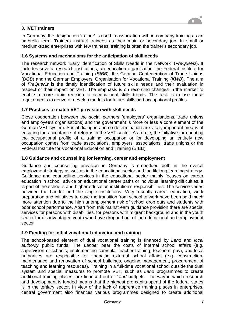#### 3. **IVET trainers**

In Germany, the designation 'trainer' is used in association with in-company training as an umbrella term. Trainers instruct trainees as their main or secondary job. In small or medium-sized enterprises with few trainees, training is often the trainer's secondary job.

#### **1.6 Systems and mechanisms for the anticipation of skill needs**

The research network "Early Identification of Skills Needs in the Network" (*FreQueNz*). It includes several research institutions, an education organisation, the Federal Institute for Vocational Education and Training (*BIBB*), the German Confederation of Trade Unions (*DGB*) and the German Employers' Organisation for Vocational Training (*KWB*). The aim of *FreQueNz* is the timely identification of future skills needs and their evaluation in respect of their impact on VET. The emphasis is on recording changes in the market to enable a more rapid reaction to occupational skills trends. The task is to use these requirements to derive or develop models for future skills and occupational profiles.

#### **1.7 Practices to match VET provision with skill needs**

Close cooperation between the social partners (employers' organisations, trade unions and employee's organisations) and the government is more or less a core element of the German VET system. Social dialogue and co-determination are vitally important means of ensuring the acceptance of reforms in the VET sector. As a rule, the initiative for updating the occupational profile of a training occupation or for developing an entirely new occupation comes from trade associations, employers' associations, trade unions or the Federal Institute for Vocational Education and Training (BIBB).

#### **1.8 Guidance and counselling for learning, career and employment**

Guidance and counselling provision in Germany is embedded both in the overall employment strategy as well as in the educational sector and the lifelong learning strategy. Guidance and counselling services in the educational sector mainly focuses on career education in school, advice on educational career paths or individual learning difficulties. It is part of the school's and higher education institution's responsibilities. The service varies between the Länder and the single institutions. Very recently career education, work preparation and initiatives to ease the transition from school to work have been paid much more attention due to the high unemployment risk of school drop outs and students with poor school performance. Apart from this mainstream guidance provision there are special services for persons with disabilities, for persons with migrant background and in the youth sector for disadvantaged youth who have dropped out of the educational and employment sector

#### **1.9 Funding for initial vocational education and training**

The school-based element of dual vocational training is financed by *Land* and *local authority* public funds. The *Länder* bear the costs of internal school affairs (e.g. supervision of schools, implementing curricula, teacher training, teachers' pay), and local authorities are responsible for financing external school affairs (e.g. construction, maintenance and renovation of school buildings, ongoing management, procurement of teaching and learning resources). Training in a full-time vocational school outside the dual system and special measures to promote VET, such as *Land* programmes to create additional training places, are financed out of *Land* budgets. The way in which research and development is funded means that the highest pro-capita spend of the federal states is in the tertiary sector. In view of the lack of apprentice training places in enterprises, central government also finances various programmes designed to create additional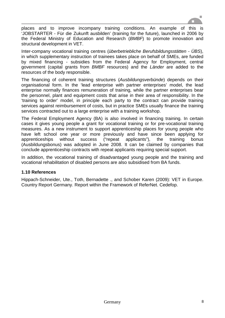

places and to improve incompany training conditions. An example of this is 'JOBSTARTER - Für die Zukunft ausbilden' (training for the future), launched in 2006 by the Federal Ministry of Education and Research (*BMBF*) to promote innovation and structural development in VET.

Inter-company vocational training centres (*überbetriebliche Berufsbildungsstätten - ÜBS*), in which supplementary instruction of trainees takes place on behalf of SMEs, are funded by mixed financing - subsidies from the Federal Agency for Employment, central government (capital grants from *BMBF* resources) and the *Länder* are added to the resources of the body responsible.

The financing of coherent training structures (*Ausbildungsverbünde*) depends on their organisational form. In the 'lead enterprise with partner enterprises' model, the lead enterprise normally finances remuneration of training, while the partner enterprises bear the personnel, plant and equipment costs that arise in their area of responsibility. In the 'training to order' model, in principle each party to the contract can provide training services against reimbursement of costs, but in practice SMEs usually finance the training services contracted out to a large enterprise with a training workshop.

The Federal Employment Agency (BA) is also involved in financing training. In certain cases it gives young people a grant for vocational training or for pre-vocational training measures. As a new instrument to support apprenticeship places for young people who have left school one year or more previously and have since been applying for apprenticeships without success ("repeat applicants"), the training bonus (Ausbildungsbonus) was adopted in June 2008. It can be claimed by companies that conclude apprenticeship contracts with repeat applicants requiring special support.

In addition, the vocational training of disadvantaged young people and the training and vocational rehabilitation of disabled persons are also subsidised from BA funds.

#### **1.10 References**

Hippach-Schneider, Ute., Toth, Bernadette ., and Schober Karen (2009): VET in Europe. Country Report Germany. Report within the Framework of ReferNet. Cedefop.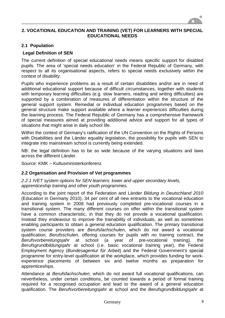

#### **2. VOCATIONAL EDUCATION AND TRAINING (VET) FOR LEARNERS WITH SPECIAL EDUCATIONAL NEEDS**

#### **2.1 Population**

#### **Legal Definition of SEN**

The current definition of special educational needs means specific support for disabled pupils. The area of 'special needs education' in the Federal Republic of Germany, with respect to all its organisational aspects, refers to special needs exclusively within the context of disability.

Pupils who experience problems as a result of certain disabilities and/or are in need of additional educational support because of difficult circumstances, together with students with temporary learning difficulties (e.g. slow learners, reading and writing difficulties) are supported by a combination of measures of differentiation within the structure of the general support system. Remedial or individual education programmes based on the general structure make support available where a learner experiences difficulties during the learning process. The Federal Republic of Germany has a comprehensive framework of special measures aimed at providing additional advice and support for all types of situations that might arise in daily school life.

Within the context of Germany's ratification of the UN Convention on the Rights of Persons with Disabilities and the Länder equality legislation, the possibility for pupils with SEN to integrate into mainstream school is currently being extended.

NB: the legal definition has to be so wide because of the varying situations and laws across the different Länder.

Source: KMK – Kultusministerkonferenz

#### **2.2 Organisation and Provision of Vet programmes**

*2.2.1 IVET system options for SEN learners: lower and upper secondary levels, apprenticeship training and other youth programmes.* 

According to the joint report of the Federation and Länder *Bildung in Deutschland 2010*  (Education in Germany 2010), 34 per cent of all new entrants to the vocational education and training system in 2008 had previously completed pre-vocational courses in a transitional system. The many different courses on offer within the transitional system have a common characteristic, in that they do not provide a vocational qualification. Instead they endeavour to improve the trainability of individuals, as well as sometimes enabling participants to obtain a general education qualification. The primary transitional system course providers are *Berufsfachschulen,* which do not award a vocational qualification, *Berufsschulen,* offering courses for pupils with no training contract, the *Berufsvorbereitungsjahr* at school (a year of pre-vocational training), the *Berufsgrundbildungsjahr* at school (i.e. basic vocational training year), the Federal Employment Agency (*Bundesagentur für Arbeit*) and the Federal Government's special programme for entry-level qualification at the workplace, which provides funding for workexperience placements of between six and twelve months as preparation for apprenticeships.

Attendance at *Berufsfachschulen,* which do not award full vocational qualifications, can nevertheless, under certain conditions, be counted towards a period of formal training required for a recognised occupation and lead to the award of a general education qualification. The *Berufsvorbereitungsjahr* at school and the *Berufsgrundbildungsjahr* at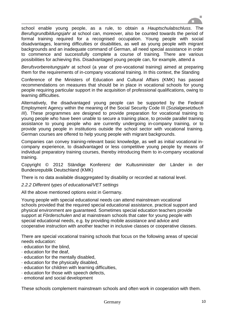

school enable young people, as a rule, to obtain a *Hauptschulabschluss*. The *Berufsgrundbildungsjahr* at school can, moreover, also be counted towards the period of formal training required for a recognised occupation. Young people with social disadvantages, learning difficulties or disabilities, as well as young people with migrant backgrounds and an inadequate command of German, all need special assistance in order to commence and successfully complete a course of training. There are various possibilities for achieving this. Disadvantaged young people can, for example, attend a

*Berufsvorbereitungsjahr* at school (a year of pre-vocational training) aimed at preparing them for the requirements of in-company vocational training. In this context, the Standing

Conference of the Ministers of Education and Cultural Affairs (KMK) has passed recommendations on measures that should be in place in vocational schools for young people requiring particular support in the acquisition of professional qualifications, owing to learning difficulties.

Alternatively, the disadvantaged young people can be supported by the Federal Employment Agency within the meaning of the Social Security Code III (*Sozialgesetzbuch III*). These programmes are designed to provide preparation for vocational training to young people who have been unable to secure a training place, to provide parallel training assistance to young people who are currently undergoing in-company training, or to provide young people in institutions outside the school sector with vocational training. German courses are offered to help young people with migrant backgrounds.

Companies can convey training-relevant basic knowledge, as well as initial vocational incompany experience, to disadvantaged or less competitive young people by means of individual preparatory training courses, thereby introducing them to in-company vocational training.

Copyright © 2012 Ständige Konferenz der Kultusminister der Länder in der Bundesrepublik Deutschland (KMK)

There is no data available disaggregated by disability or recorded at national level.

#### *2.2.2 Different types of educational/VET settings*

All the above mentioned options exist in Germany.

Young people with special educational needs can attend mainstream vocational schools provided that the required special educational assistance, practical support and physical environment are guaranteed. Sometimes special education teachers provide support at *Förderschulen* and at mainstream schools that cater for young people with special educational needs, e.g. by providing mobile assistance and advice and cooperative instruction with another teacher in inclusive classes or cooperative classes.

There are special vocational training schools that focus on the following areas of special needs education:

- · education for the blind,
- · education for the deaf,
- · education for the mentally disabled,
- · education for the physically disabled,
- · education for children with learning difficulties,
- · education for those with speech defects,
- · emotional and social development

These schools complement mainstream schools and often work in cooperation with them.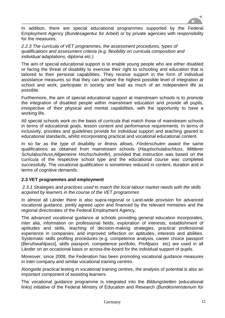

In addition, there are special educational programmes supported by the Federal Employment Agency (*Bundesagentur für Arbeit*) or by private agencies with responsibility for the measures.

*2.2.3 The curricula of VET programmes, the assessment procedures, types of qualifications and assessment criteria (e.g. flexibility on curricula composition and individual adaptations, diploma etc.)*

The aim of special educational support is to enable young people who are either disabled or facing the threat of disability to exercise their right to schooling and education that is tailored to their personal capabilities. They receive support in the form of individual assistance measures so that they can achieve the highest possible level of integration at school and work, participate in society and lead as much of an independent life as possible.

Furthermore, the aim of special educational support at mainstream schools is to promote the integration of disabled people within mainstream education and provide all pupils, irrespective of their physical and mental capabilities, with the opportunity to have a working life.

All special schools work on the basis of curricula that match those of mainstream schools in terms of educational goals, lesson content and performance requirements. In terms of inclusivity, priorities and guidelines provide for individual support and teaching geared to educational standards, whilst incorporating practical and vocational educational content.

In so far as the type of disability or illness allows, *Förderschulen* award the same qualifications as obtained from mainstream schools (*Hauptschulabschluss*, *Mittlerer Schulabschluss*,*Allgemeine Hochschulreife*), provided that instruction was based on the curricula of the respective school type and the educational course was completed successfully. The vocational qualification is sometimes reduced in content, duration and in terms of cognitive demands.

#### **2.3 VET programmes and employment**

*2.3.1 Strategies and practices used to match the local labour market needs with the skills acquired by learners in the course of the VET programmes*

In almost all Länder there is also supra-regional or Land-wide provision for advanced vocational guidance, jointly agreed upon and financed by the relevant ministries and the regional directorates of the Federal Employment Agency.

The advanced vocational guidance at schools providing general education incorporates, inter alia, information on professional fields, exploration of interests, establishment of aptitudes and skills, teaching of decision-making strategies, practical professional experience in companies, and improved reflection on aptitudes, interests and abilities. Systematic skills profiling procedures (e.g. competence analysis, career choice passport [*Berufswahlpass*], skills passport, competence portfolio, *Profilpass* etc) are used in all Länder on an occasional basis or across-the-board for the individual support of pupils.

Moreover, since 2008, the Federation has been promoting vocational guidance measures in inter-company and similar vocational training centres.

Alongside practical testing in vocational training centres, the analysis of potential is also an important component of assisting learners.

The vocational guidance programme is integrated into the *Bildungsketten* (educational links) initiative of the Federal Ministry of Education and Research (*Bundesministerium für*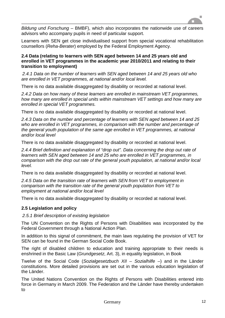![](_page_11_Picture_0.jpeg)

*Bildung und Forschung* – BMBF), which also incorporates the nationwide use of careers advisors who accompany pupils in need of particular support.

Learners with SEN get close individualised support from special vocational rehabilitation counsellors (*Reha-Berater*) employed by the Federal Employment Agency.

#### **2.4 Data (relating to learners with SEN aged between 14 and 25 years old and enrolled in VET programmes in the academic year 2010/2011 and relating to their transition to employment)**

*2.4.1 Data on the number of learners with SEN aged between 14 and 25 years old who are enrolled in VET programmes, at national and/or local level.*

There is no data available disaggregated by disability or recorded at national level.

*2.4.2 Data on how many of these learners are enrolled in mainstream VET programmes, how many are enrolled in special units within mainstream VET settings and how many are enrolled in special VET programmes.*

There is no data available disaggregated by disability or recorded at national level.

*2.4.3 Data on the number and percentage of learners with SEN aged between 14 and 25 who are enrolled in VET programmes, in comparison with the number and percentage of the general youth population of the same age enrolled in VET programmes, at national and/or local level*

There is no data available disaggregated by disability or recorded at national level.

*2.4.4 Brief definition and explanation of "drop out". Data concerning the drop out rate of learners with SEN aged between 14 and 25 who are enrolled in VET programmes, in comparison with the drop out rate of the general youth population, at national and/or local level.*

There is no data available disaggregated by disability or recorded at national level.

*2.4.5 Data on the transition rate of learners with SEN from VET to employment in comparison with the transition rate of the general youth population from VET to employment at national and/or local level*

There is no data available disaggregated by disability or recorded at national level.

#### **2.5 Legislation and policy**

*2.5.1 Brief description of existing legislation*

The UN Convention on the Rights of Persons with Disabilities was incorporated by the Federal Government through a National Action Plan.

In addition to this signal of commitment, the main laws regulating the provision of VET for SEN can be found in the German Social Code Book.

The right of disabled children to education and training appropriate to their needs is enshrined in the Basic Law (*Grundgesetz*, Art. 3), in equality legislation, in Book

Twelve of the Social Code (*Sozialgesetzbuch XII – Sozialhilfe –*) and in the Länder constitutions. More detailed provisions are set out in the various education legislation of the Länder.

The United Nations Convention on the Rights of Persons with Disabilities entered into force in Germany in March 2009. The Federation and the Länder have thereby undertaken to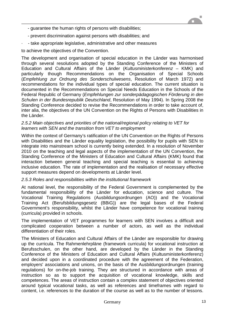- guarantee the human rights of persons with disabilities;
- prevent discrimination against persons with disabilities; and
- · take appropriate legislative, administrative and other measures

to achieve the objectives of the Convention.

The development and organisation of special education in the Länder was harmonised through several resolutions adopted by the Standing Conference of the Ministers of Education and Cultural Affairs of the Länder (*Kultusministerkonferenz* – KMK) and particularly though Recommendations on the Organisation of Special Schools (*Empfehlung zur Ordnung des Sonderschulwesens*, Resolution of March 1972) and recommendations for the individual types of special education. The current situation is documented in the Recommendations on Special Needs Education in the Schools of the Federal Republic of Germany (*Empfehlungen zur sonderpädagogischen Förderung in den Schulen in der Bundesrepublik Deutschland*, Resolution of May 1994). In Spring 2008 the Standing Conference decided to revise the Recommendations in order to take account of, inter alia, the objectives of the UN Convention on the Rights of Persons with Disabilities in the Länder.

#### *2.5.2 Main objectives and priorities of the national/regional policy relating to VET for learners with SEN and the transition from VET to employment*

Within the context of Germany's ratification of the UN Convention on the Rights of Persons with Disabilities and the Länder equality legislation, the possibility for pupils with SEN to integrate into mainstream school is currently being extended. In a resolution of November 2010 on the teaching and legal aspects of the implementation of the UN Convention, the Standing Conference of the Ministers of Education and Cultural Affairs (KMK) found that interaction between general teaching and special teaching is essential to achieving inclusive education. The rate of implementation and the realisation of necessary effective support measures depend on developments at Länder level.

#### *2.5.3 Roles and responsibilities within the institutional framework*

At national level, the responsibility of the Federal Government is complemented by the fundamental responsibility of the Länder for education, science and culture. The Vocational Training Regulations (Ausbildungsordnungen (AO)) and the Vocational Training Act (Berufsbildungsgesetz (BBiG)) are the legal bases of the Federal Government's responsibility, whilst the Länder have competence for vocational training (curricula) provided in schools.

The implementation of VET programmes for learners with SEN involves a difficult and complicated cooperation between a number of actors, as well as the individual differentiation of their roles.

The Ministers of Education and Cultural Affairs of the Länder are responsible for drawing up the curricula. The Rahmenlehrpläne (framework curricula) for vocational instruction at Berufsschulen, on the other hand, are developed by the Länder in the Standing Conference of the Ministers of Education and Cultural Affairs (Kultusministerkonferenz) and decided upon in a coordinated procedure with the agreement of the Federation, employers' associations and unions, on the basis of the Ausbildungsordnungen (training regulations) for on-the-job training. They are structured in accordance with areas of instruction so as to support the acquisition of vocational knowledge, skills and competences. The areas of instruction contain a complex statement of objectives oriented around typical vocational tasks, as well as references and timeframes with regard to content, i.e. references to the duration of the course as well as to the number of lessons.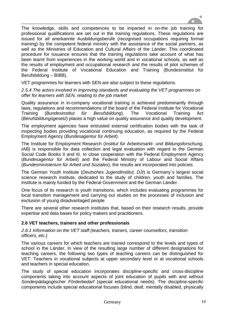![](_page_13_Picture_0.jpeg)

The knowledge, skills and competences to be imparted in on-the job training for professional qualifications are set out in the training regulations. These regulations are issued for all anerkannte Ausbildungsberufe (recognised occupations requiring formal training) by the competent federal ministry with the assistance of the social partners, as well as the Ministries of Education and Cultural Affairs of the Länder. This coordinated procedure for issuance ensures that the training regulations take account of what has been learnt from experiences in the working world and in vocational schools, as well as the results of employment and occupational research and the results of pilot schemes of the Federal Institute of Vocational Education and Training (Bundesinstitut für Berufsbildung – BIBB).

VET programmes for learners with SEN are also subject to these regulations.

*2.5.4 The actors involved in improving standards and evaluating the VET programmes on offer for learners with SEN, relating to the job market*

Quality assurance in in-company vocational training is achieved predominantly through laws, regulations and recommendations of the board of the Federal Institute for Vocational Training (*Bundesinstitut für Berufsbildung*). The Vocational Training Act (*Berufsbildungsgesetz*) places a high value on quality assurance and quality development.

The employment agencies have entrusted external certification bodies with the task of inspecting bodies providing vocational continuing education, as required by the Federal Employment Agency (*Bundesagentur für Arbeit*).

The Institute for Employment Research (*Institut für Arbeitsmarkt- und Bildungsforschung, IAB*) is responsible for data collection and legal evaluation with regard to the German Social Code Books II and III. In close cooperation with the Federal Employment Agency (*Bundesagentur für Arbeit*) and the Federal Ministry of Labour and Social Affairs (*Bundesministerium für Arbeit und Soziales*), the results are incorporated into policies.

The German Youth Institute (*Deutsches Jugendinstitut, DJI*) is Germany´s largest social science research institute, dedicated to the study of children, youth and families. The institute is mainly funded by the Federal Government and the German Länder.

One focus of its research is youth transitions, which includes evaluating programmes for local transition management and carrying out studies on the processes of inclusion and exclusion of young disadvantaged people

There are several other research institutes that, based on their research results, provide expertise and data bases for policy makers and practitioners.

#### **2.6 VET teachers, trainers and other professionals**

*2.6.1 Information on the VET staff (teachers, trainers, career counsellors, transition officers, etc.)* 

The various careers for which teachers are trained correspond to the levels and types of school in the Länder. In view of the resulting large number of different designations for teaching careers, the following two types of teaching careers can be distinguished for VET: Teachers in vocational subjects at upper secondary level or at vocational schools and teachers in special education.

The study of special education incorporates discipline-specific and cross-discipline components taking into account aspects of joint education of pupils with and without *Sonderpädagogischer Förderbedarf* (special educational needs). The discipline-specific components include special educational focuses (blind, deaf, mentally disabled, physically